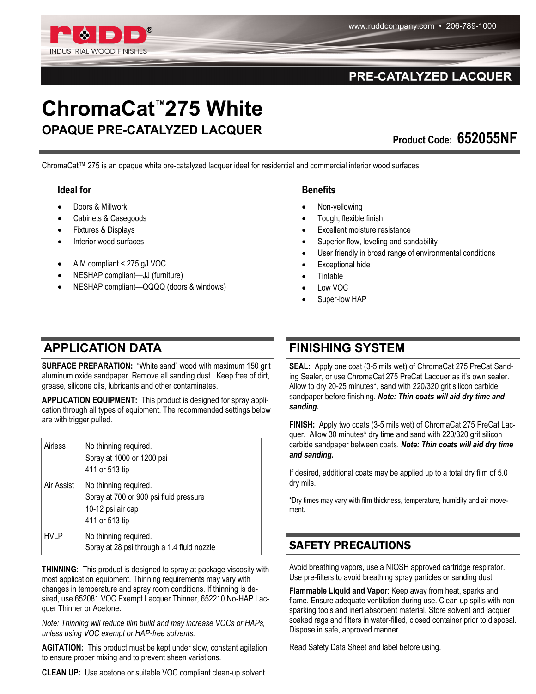

### PRE-CATALYZED LACQUER

# **ChromaCat™275 White OPAQUE PRE-CATALYZED LACQUER**

**Product Code: 652055NF** 

ChromaCat™ 275 is an opaque white pre-catalyzed lacquer ideal for residential and commercial interior wood surfaces.

#### **Ideal for**

- Doors & Millwork
- Cabinets & Casegoods
- Fixtures & Displays
- Interior wood surfaces
- AIM compliant < 275 g/l VOC
- NESHAP compliant—JJ (furniture)
- NESHAP compliant—QQQQ (doors & windows)

#### **Benefits**

- Non-yellowing
- Tough, flexible finish
- Excellent moisture resistance
- Superior flow, leveling and sandability
- User friendly in broad range of environmental conditions
- Exceptional hide
- **Tintable**
- Low VOC
- Super-low HAP

## **APPLICATION DATA**

**SURFACE PREPARATION:** "White sand" wood with maximum 150 grit aluminum oxide sandpaper. Remove all sanding dust. Keep free of dirt, grease, silicone oils, lubricants and other contaminates.

**APPLICATION EQUIPMENT:** This product is designed for spray application through all types of equipment. The recommended settings below are with trigger pulled.

| Airless     | No thinning required.<br>Spray at 1000 or 1200 psi<br>411 or 513 tip                                   |
|-------------|--------------------------------------------------------------------------------------------------------|
| Air Assist  | No thinning required.<br>Spray at 700 or 900 psi fluid pressure<br>10-12 psi air cap<br>411 or 513 tip |
| <b>HVLP</b> | No thinning required.<br>Spray at 28 psi through a 1.4 fluid nozzle                                    |

**THINNING:** This product is designed to spray at package viscosity with most application equipment. Thinning requirements may vary with changes in temperature and spray room conditions. If thinning is desired, use 652081 VOC Exempt Lacquer Thinner, 652210 No-HAP Lacquer Thinner or Acetone.

*Note: Thinning will reduce film build and may increase VOCs or HAPs, unless using VOC exempt or HAP-free solvents.*

**AGITATION:** This product must be kept under slow, constant agitation, to ensure proper mixing and to prevent sheen variations.

**CLEAN UP:** Use acetone or suitable VOC compliant clean-up solvent.

## **FINISHING SYSTEM**

**SEAL:** Apply one coat (3-5 mils wet) of ChromaCat 275 PreCat Sanding Sealer, or use ChromaCat 275 PreCat Lacquer as it's own sealer. Allow to dry 20-25 minutes\*, sand with 220/320 grit silicon carbide sandpaper before finishing. *Note: Thin coats will aid dry time and sanding.*

FINISH: Apply two coats (3-5 mils wet) of ChromaCat 275 PreCat Lacquer. Allow 30 minutes\* dry time and sand with 220/320 grit silicon carbide sandpaper between coats. *Note: Thin coats will aid dry time and sanding.*

If desired, additional coats may be applied up to a total dry film of 5.0 dry mils.

\*Dry times may vary with film thickness, temperature, humidity and air movement.

#### SAFETY PRECAUTIONS

Avoid breathing vapors, use a NIOSH approved cartridge respirator. Use pre-filters to avoid breathing spray particles or sanding dust.

**Flammable Liquid and Vapor**: Keep away from heat, sparks and flame. Ensure adequate ventilation during use. Clean up spills with nonsparking tools and inert absorbent material. Store solvent and lacquer soaked rags and filters in water-filled, closed container prior to disposal. Dispose in safe, approved manner.

Read Safety Data Sheet and label before using.